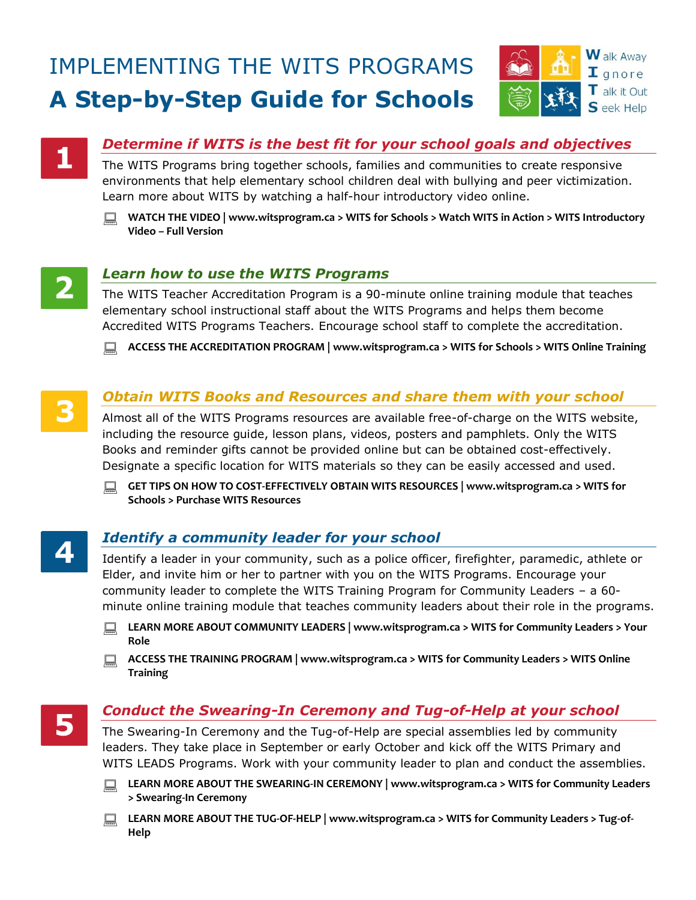# IMPLEMENTING THE WITS PROGRAMS **A Step-by-Step Guide for Schools**





## *Determine if WITS is the best fit for your school goals and objectives*

The WITS Programs bring together schools, families and communities to create responsive environments that help elementary school children deal with bullying and peer victimization. Learn more about WITS by watching a half-hour introductory video online.





#### *Learn how to use the WITS Programs*

The WITS Teacher Accreditation Program is a 90-minute online training module that teaches elementary school instructional staff about the WITS Programs and helps them become Accredited WITS Programs Teachers. Encourage school staff to complete the accreditation.

**ACCESS THE ACCREDITATION PROGRAM | [www.witsprogram.ca](http://www.witsprogram.ca/) > WITS for Schools > WITS Online Training**



#### *Obtain WITS Books and Resources and share them with your school*

Almost all of the WITS Programs resources are available free-of-charge on the WITS website, including the resource guide, lesson plans, videos, posters and pamphlets. Only the WITS Books and reminder gifts cannot be provided online but can be obtained cost-effectively. Designate a specific location for WITS materials so they can be easily accessed and used.

 **GET TIPS ON HOW TO COST-EFFECTIVELY OBTAIN WITS RESOURCES | [www.witsprogram.ca](http://www.witsprogram.ca/) > WITS for Schools > Purchase WITS Resources**

#### *Identify a community leader for your school*

Identify a leader in your community, such as a police officer, firefighter, paramedic, athlete or Elder, and invite him or her to partner with you on the WITS Programs. Encourage your community leader to complete the WITS Training Program for Community Leaders – a 60 minute online training module that teaches community leaders about their role in the programs.

- **LEARN MORE ABOUT COMMUNITY LEADERS | [www.witsprogram.ca](http://www.witsprogram.ca/) > WITS for Community Leaders > Your Role**
- **ACCESS THE TRAINING PROGRAM | [www.witsprogram.ca](http://www.witsprogram.ca/) > WITS for Community Leaders > WITS Online Training**



#### *Conduct the Swearing-In Ceremony and Tug-of-Help at your school*

The Swearing-In Ceremony and the Tug-of-Help are special assemblies led by community leaders. They take place in September or early October and kick off the WITS Primary and WITS LEADS Programs. Work with your community leader to plan and conduct the assemblies.

- **LEARN MORE ABOUT THE SWEARING-IN CEREMONY | [www.witsprogram.ca](http://www.witsprogram.ca/) > WITS for Community Leaders > Swearing-In Ceremony**
- **LEARN MORE ABOUT THE TUG-OF-HELP | [www.witsprogram.ca](http://www.witsprogram.ca/) > WITS for Community Leaders > Tug-of-Help**